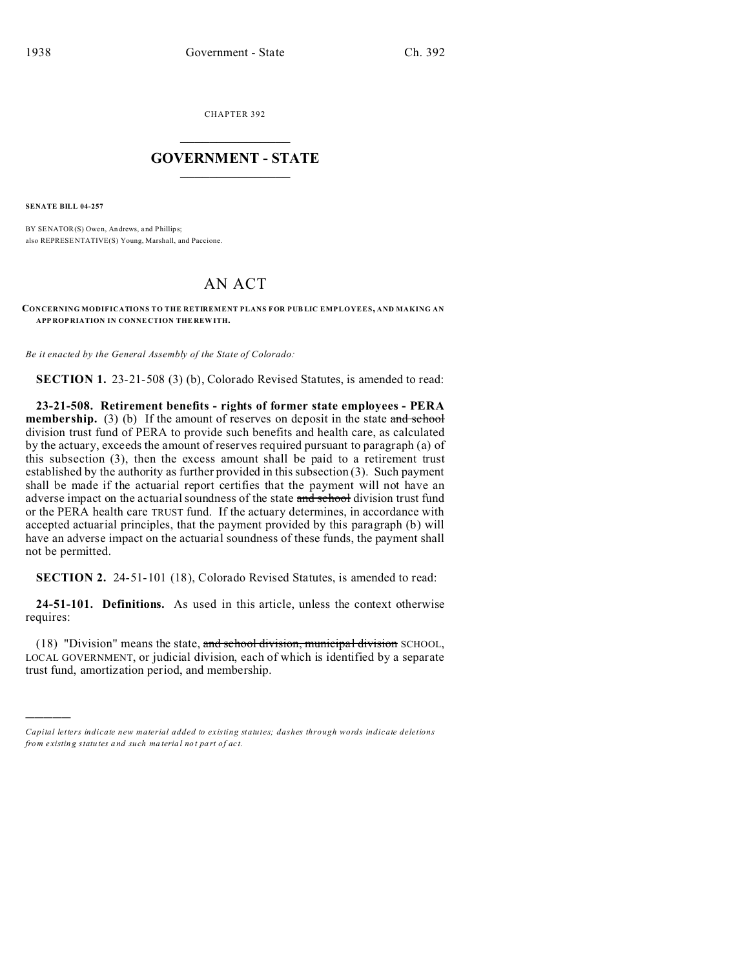CHAPTER 392  $\overline{\phantom{a}}$  , where  $\overline{\phantom{a}}$ 

## **GOVERNMENT - STATE**  $\_$   $\_$   $\_$   $\_$   $\_$   $\_$   $\_$   $\_$   $\_$

**SENATE BILL 04-257**

)))))

BY SENATOR(S) Owen, An drews, and Phillips; also REPRESE NTATIVE(S) Young, Marshall, and Paccione.

# AN ACT

**CONCERNING MODIFICATIONS TO THE RETIREMENT PLANS FOR PUB LIC EMPLOYEES, AND MAKING AN APP ROP RIATION IN CONNE CTION THE REW ITH.**

*Be it enacted by the General Assembly of the State of Colorado:*

**SECTION 1.** 23-21-508 (3) (b), Colorado Revised Statutes, is amended to read:

**23-21-508. Retirement benefits - rights of former state employees - PERA membership.** (3) (b) If the amount of reserves on deposit in the state and school division trust fund of PERA to provide such benefits and health care, as calculated by the actuary, exceeds the amount of reserves required pursuant to paragraph (a) of this subsection (3), then the excess amount shall be paid to a retirement trust established by the authority as further provided in this subsection (3). Such payment shall be made if the actuarial report certifies that the payment will not have an adverse impact on the actuarial soundness of the state and school division trust fund or the PERA health care TRUST fund. If the actuary determines, in accordance with accepted actuarial principles, that the payment provided by this paragraph (b) will have an adverse impact on the actuarial soundness of these funds, the payment shall not be permitted.

**SECTION 2.** 24-51-101 (18), Colorado Revised Statutes, is amended to read:

**24-51-101. Definitions.** As used in this article, unless the context otherwise requires:

(18) "Division" means the state, and school division, municipal division SCHOOL, LOCAL GOVERNMENT, or judicial division, each of which is identified by a separate trust fund, amortization period, and membership.

*Capital letters indicate new material added to existing statutes; dashes through words indicate deletions from e xistin g statu tes a nd such ma teria l no t pa rt of ac t.*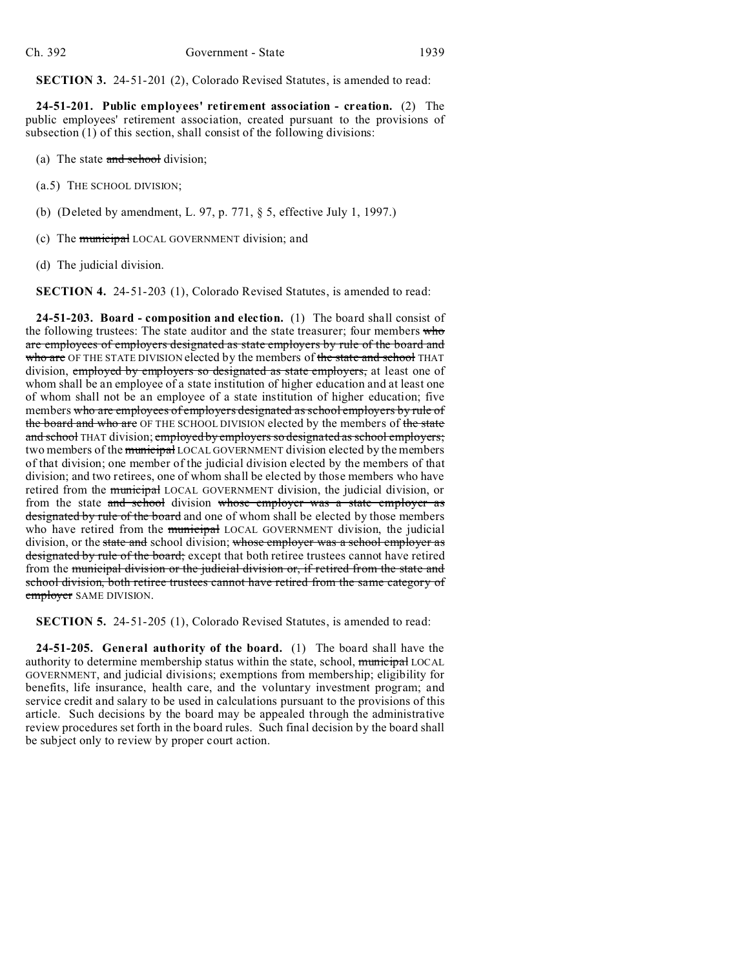**SECTION 3.** 24-51-201 (2), Colorado Revised Statutes, is amended to read:

**24-51-201. Public employees' retirement association - creation.** (2) The public employees' retirement association, created pursuant to the provisions of subsection (1) of this section, shall consist of the following divisions:

- (a) The state and school division;
- (a.5) THE SCHOOL DIVISION;
- (b) (Deleted by amendment, L. 97, p. 771, § 5, effective July 1, 1997.)
- (c) The municipal LOCAL GOVERNMENT division; and
- (d) The judicial division.

**SECTION 4.** 24-51-203 (1), Colorado Revised Statutes, is amended to read:

**24-51-203. Board - composition and election.** (1) The board shall consist of the following trustees: The state auditor and the state treasurer; four members who are employees of employers designated as state employers by rule of the board and who are OF THE STATE DIVISION elected by the members of the state and school THAT division, employed by employers so designated as state employers, at least one of whom shall be an employee of a state institution of higher education and at least one of whom shall not be an employee of a state institution of higher education; five members who are employees of employers designated as school employers by rule of the board and who are OF THE SCHOOL DIVISION elected by the members of the state and school THAT division; employed by employers so designated as school employers; two members of the municipal LOCAL GOVERNMENT division elected by the members of that division; one member of the judicial division elected by the members of that division; and two retirees, one of whom shall be elected by those members who have retired from the **municipal** LOCAL GOVERNMENT division, the judicial division, or from the state and school division whose employer was a state employer as designated by rule of the board and one of whom shall be elected by those members who have retired from the **municipal** LOCAL GOVERNMENT division, the judicial division, or the state and school division; whose employer was a school employer as designated by rule of the board; except that both retiree trustees cannot have retired from the municipal division or the judicial division or, if retired from the state and school division, both retiree trustees cannot have retired from the same category of employer SAME DIVISION.

**SECTION 5.** 24-51-205 (1), Colorado Revised Statutes, is amended to read:

**24-51-205. General authority of the board.** (1) The board shall have the authority to determine membership status within the state, school, municipal LOCAL GOVERNMENT, and judicial divisions; exemptions from membership; eligibility for benefits, life insurance, health care, and the voluntary investment program; and service credit and salary to be used in calculations pursuant to the provisions of this article. Such decisions by the board may be appealed through the administrative review procedures set forth in the board rules. Such final decision by the board shall be subject only to review by proper court action.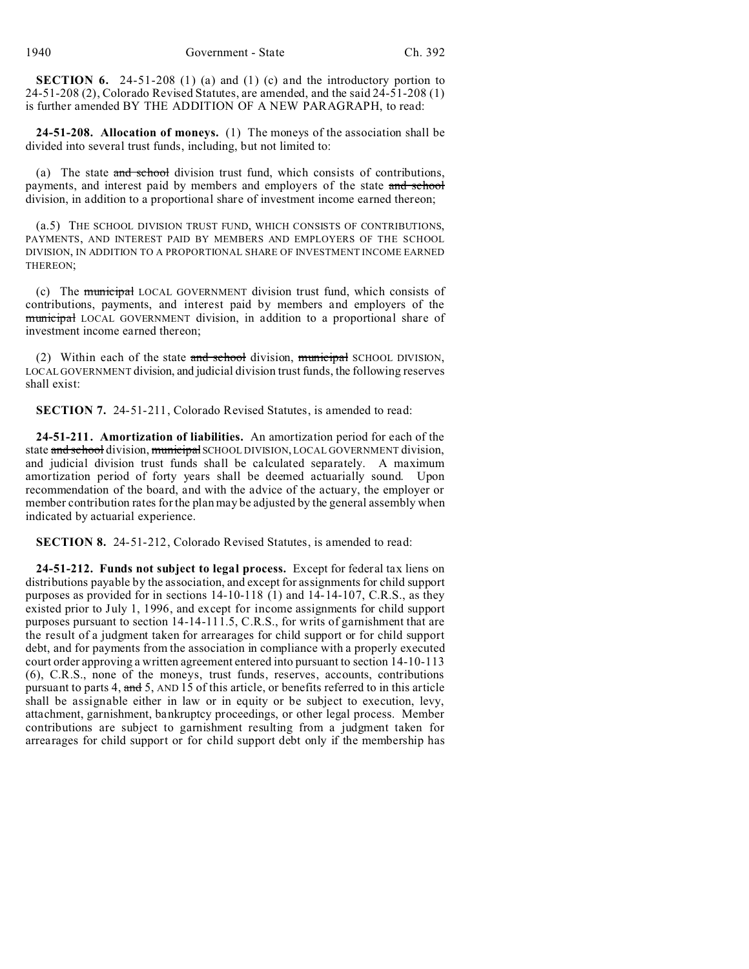**SECTION 6.** 24-51-208 (1) (a) and (1) (c) and the introductory portion to 24-51-208 (2), Colorado Revised Statutes, are amended, and the said 24-51-208 (1) is further amended BY THE ADDITION OF A NEW PARAGRAPH, to read:

**24-51-208. Allocation of moneys.** (1) The moneys of the association shall be divided into several trust funds, including, but not limited to:

(a) The state and school division trust fund, which consists of contributions, payments, and interest paid by members and employers of the state and school division, in addition to a proportional share of investment income earned thereon;

(a.5) THE SCHOOL DIVISION TRUST FUND, WHICH CONSISTS OF CONTRIBUTIONS, PAYMENTS, AND INTEREST PAID BY MEMBERS AND EMPLOYERS OF THE SCHOOL DIVISION, IN ADDITION TO A PROPORTIONAL SHARE OF INVESTMENT INCOME EARNED THEREON;

(c) The municipal LOCAL GOVERNMENT division trust fund, which consists of contributions, payments, and interest paid by members and employers of the municipal LOCAL GOVERNMENT division, in addition to a proportional share of investment income earned thereon;

(2) Within each of the state and school division, municipal SCHOOL DIVISION, LOCAL GOVERNMENT division, and judicial division trust funds, the following reserves shall exist:

**SECTION 7.** 24-51-211, Colorado Revised Statutes, is amended to read:

**24-51-211. Amortization of liabilities.** An amortization period for each of the state and school division, municipal SCHOOL DIVISION, LOCAL GOVERNMENT division, and judicial division trust funds shall be calculated separately. A maximum amortization period of forty years shall be deemed actuarially sound. Upon recommendation of the board, and with the advice of the actuary, the employer or member contribution rates for the plan may be adjusted by the general assembly when indicated by actuarial experience.

**SECTION 8.** 24-51-212, Colorado Revised Statutes, is amended to read:

**24-51-212. Funds not subject to legal process.** Except for federal tax liens on distributions payable by the association, and except for assignments for child support purposes as provided for in sections 14-10-118 (1) and 14-14-107, C.R.S., as they existed prior to July 1, 1996, and except for income assignments for child support purposes pursuant to section 14-14-111.5, C.R.S., for writs of garnishment that are the result of a judgment taken for arrearages for child support or for child support debt, and for payments from the association in compliance with a properly executed court order approving a written agreement entered into pursuant to section 14-10-113 (6), C.R.S., none of the moneys, trust funds, reserves, accounts, contributions pursuant to parts 4,  $\frac{and}{ }$  5, AND 15 of this article, or benefits referred to in this article shall be assignable either in law or in equity or be subject to execution, levy, attachment, garnishment, bankruptcy proceedings, or other legal process. Member contributions are subject to garnishment resulting from a judgment taken for arrearages for child support or for child support debt only if the membership has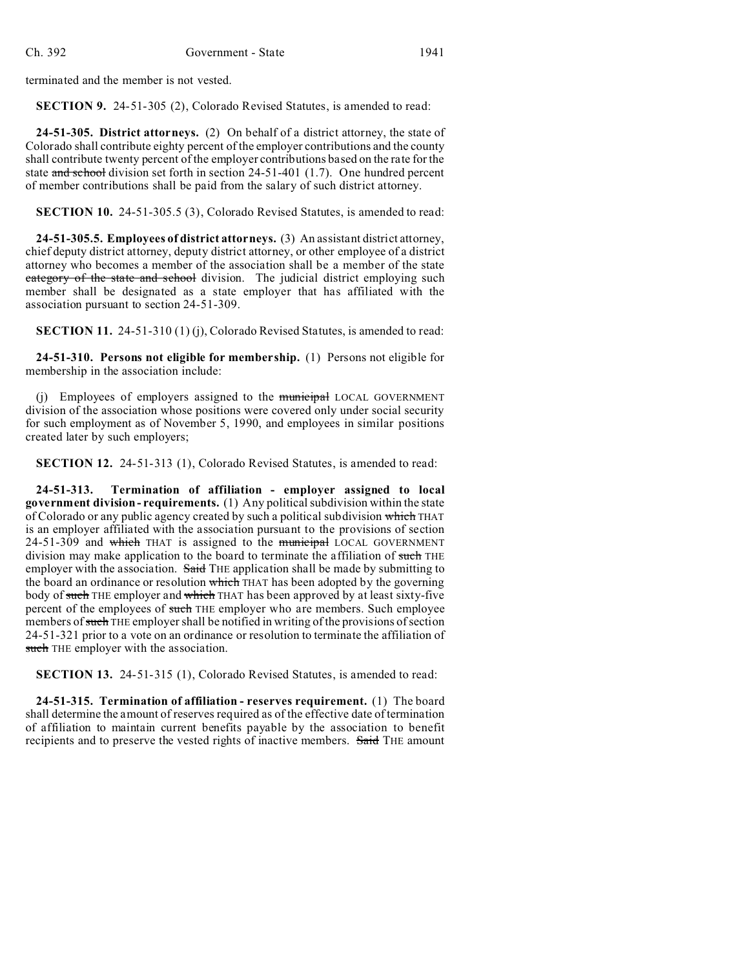terminated and the member is not vested.

**SECTION 9.** 24-51-305 (2), Colorado Revised Statutes, is amended to read:

**24-51-305. District attorneys.** (2) On behalf of a district attorney, the state of Colorado shall contribute eighty percent of the employer contributions and the county shall contribute twenty percent of the employer contributions based on the rate for the state and school division set forth in section 24-51-401 (1.7). One hundred percent of member contributions shall be paid from the salary of such district attorney.

**SECTION 10.** 24-51-305.5 (3), Colorado Revised Statutes, is amended to read:

**24-51-305.5. Employees of district attorneys.** (3) An assistant district attorney, chief deputy district attorney, deputy district attorney, or other employee of a district attorney who becomes a member of the association shall be a member of the state eategory of the state and school division. The judicial district employing such member shall be designated as a state employer that has affiliated with the association pursuant to section 24-51-309.

**SECTION 11.** 24-51-310 (1) (j), Colorado Revised Statutes, is amended to read:

**24-51-310. Persons not eligible for membership.** (1) Persons not eligible for membership in the association include:

(j) Employees of employers assigned to the **municipal** LOCAL GOVERNMENT division of the association whose positions were covered only under social security for such employment as of November 5, 1990, and employees in similar positions created later by such employers;

**SECTION 12.** 24-51-313 (1), Colorado Revised Statutes, is amended to read:

**24-51-313. Termination of affiliation - employer assigned to local government division - requirements.** (1) Any political subdivision within the state of Colorado or any public agency created by such a political subdivision which THAT is an employer affiliated with the association pursuant to the provisions of section  $24-51-309$  and which THAT is assigned to the municipal LOCAL GOVERNMENT division may make application to the board to terminate the affiliation of such THE employer with the association. Said THE application shall be made by submitting to the board an ordinance or resolution which THAT has been adopted by the governing body of such THE employer and which THAT has been approved by at least sixty-five percent of the employees of such THE employer who are members. Such employee members of such THE employer shall be notified in writing of the provisions of section 24-51-321 prior to a vote on an ordinance or resolution to terminate the affiliation of such THE employer with the association.

**SECTION 13.** 24-51-315 (1), Colorado Revised Statutes, is amended to read:

**24-51-315. Termination of affiliation - reserves requirement.** (1) The board shall determine the amount of reserves required as of the effective date of termination of affiliation to maintain current benefits payable by the association to benefit recipients and to preserve the vested rights of inactive members. Said THE amount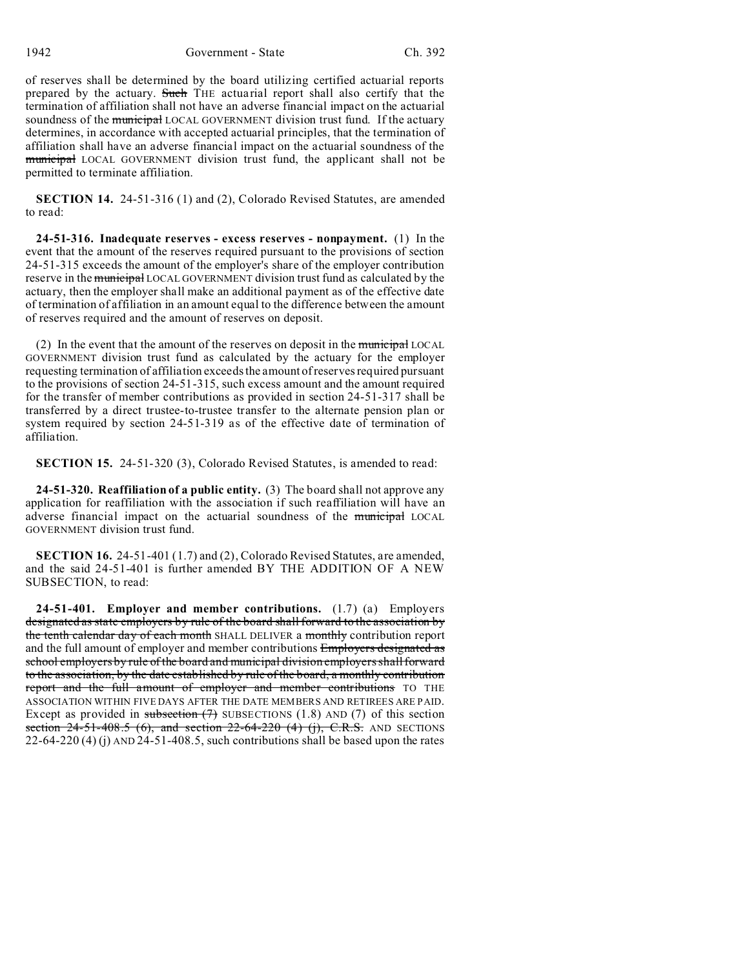of reserves shall be determined by the board utilizing certified actuarial reports prepared by the actuary. Such THE actuarial report shall also certify that the termination of affiliation shall not have an adverse financial impact on the actuarial soundness of the municipal LOCAL GOVERNMENT division trust fund. If the actuary determines, in accordance with accepted actuarial principles, that the termination of affiliation shall have an adverse financial impact on the actuarial soundness of the municipal LOCAL GOVERNMENT division trust fund, the applicant shall not be permitted to terminate affiliation.

**SECTION 14.** 24-51-316 (1) and (2), Colorado Revised Statutes, are amended to read:

**24-51-316. Inadequate reserves - excess reserves - nonpayment.** (1) In the event that the amount of the reserves required pursuant to the provisions of section 24-51-315 exceeds the amount of the employer's share of the employer contribution reserve in the municipal LOCAL GOVERNMENT division trust fund as calculated by the actuary, then the employer shall make an additional payment as of the effective date of termination of affiliation in an amount equal to the difference between the amount of reserves required and the amount of reserves on deposit.

(2) In the event that the amount of the reserves on deposit in the municipal LOCAL GOVERNMENT division trust fund as calculated by the actuary for the employer requesting termination of affiliation exceeds the amount of reserves required pursuant to the provisions of section 24-51-315, such excess amount and the amount required for the transfer of member contributions as provided in section 24-51-317 shall be transferred by a direct trustee-to-trustee transfer to the alternate pension plan or system required by section 24-51-319 as of the effective date of termination of affiliation.

**SECTION 15.** 24-51-320 (3), Colorado Revised Statutes, is amended to read:

**24-51-320. Reaffiliation of a public entity.** (3) The board shall not approve any application for reaffiliation with the association if such reaffiliation will have an adverse financial impact on the actuarial soundness of the municipal LOCAL GOVERNMENT division trust fund.

**SECTION 16.** 24-51-401 (1.7) and (2), Colorado Revised Statutes, are amended, and the said 24-51-401 is further amended BY THE ADDITION OF A NEW SUBSECTION, to read:

**24-51-401. Employer and member contributions.** (1.7) (a) Employers designated as state employers by rule of the board shall forward to the association by the tenth calendar day of each month SHALL DELIVER a monthly contribution report and the full amount of employer and member contributions Employers designated as school employers by rule of the board and municipal division employers shall forward to the association, by the date established by rule of the board, a monthly contribution report and the full amount of employer and member contributions TO THE ASSOCIATION WITHIN FIVE DAYS AFTER THE DATE MEMBERS AND RETIREES ARE PAID. Except as provided in subsection  $(7)$  SUBSECTIONS (1.8) AND (7) of this section section  $24-51-408.5$  (6), and section  $22-64-220$  (4) (j), C.R.S. AND SECTIONS 22-64-220 (4) (j) AND 24-51-408.5, such contributions shall be based upon the rates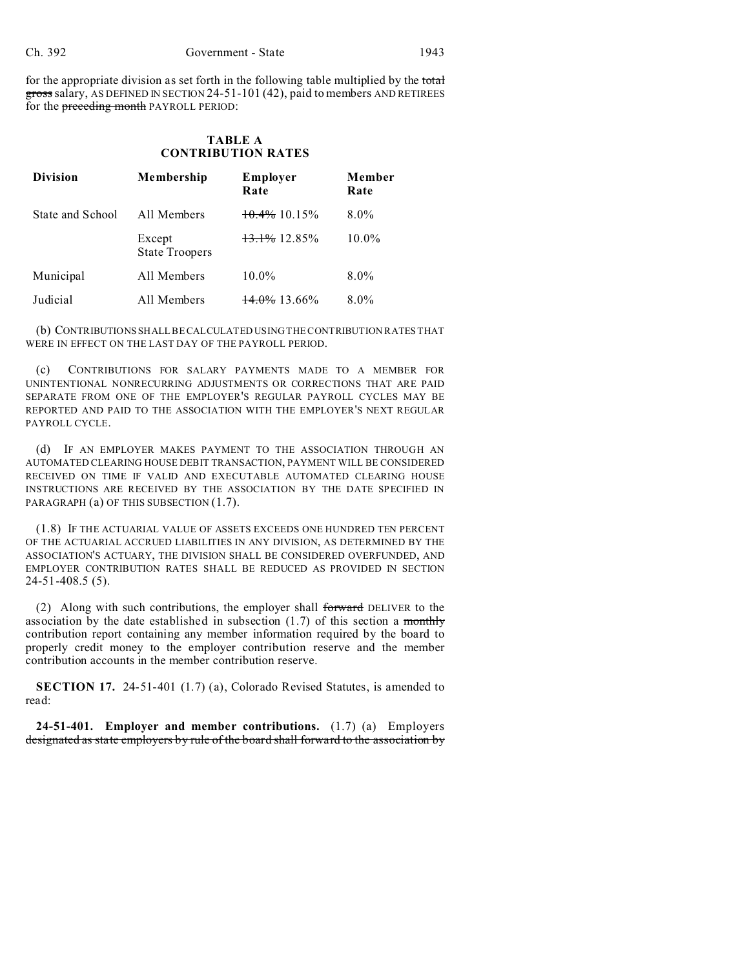for the appropriate division as set forth in the following table multiplied by the total gross salary, AS DEFINED IN SECTION 24-51-101 (42), paid to members AND RETIREES for the preceding month PAYROLL PERIOD:

# **TABLE A CONTRIBUTION RATES**

| <b>Division</b>  | Membership                      | Employer<br>Rate         | Member<br>Rate |
|------------------|---------------------------------|--------------------------|----------------|
| State and School | All Members                     | $10.4\%$ 10.15%          | $8.0\%$        |
|                  | Except<br><b>State Troopers</b> | 13.1% 12.85%             | $10.0\%$       |
| Municipal        | All Members                     | $10.0\%$                 | $8.0\%$        |
| Judicial         | All Members                     | $\frac{14.0\%}{13.66\%}$ | $8.0\%$        |

(b) CONTRIBUTIONS SHALL BE CALCULATED USING THE CONTRIBUTION RATES THAT WERE IN EFFECT ON THE LAST DAY OF THE PAYROLL PERIOD.

(c) CONTRIBUTIONS FOR SALARY PAYMENTS MADE TO A MEMBER FOR UNINTENTIONAL NONRECURRING ADJUSTMENTS OR CORRECTIONS THAT ARE PAID SEPARATE FROM ONE OF THE EMPLOYER'S REGULAR PAYROLL CYCLES MAY BE REPORTED AND PAID TO THE ASSOCIATION WITH THE EMPLOYER'S NEXT REGULAR PAYROLL CYCLE.

(d) IF AN EMPLOYER MAKES PAYMENT TO THE ASSOCIATION THROUGH AN AUTOMATED CLEARING HOUSE DEBIT TRANSACTION, PAYMENT WILL BE CONSIDERED RECEIVED ON TIME IF VALID AND EXECUTABLE AUTOMATED CLEARING HOUSE INSTRUCTIONS ARE RECEIVED BY THE ASSOCIATION BY THE DATE SPECIFIED IN PARAGRAPH (a) OF THIS SUBSECTION (1.7).

(1.8) IF THE ACTUARIAL VALUE OF ASSETS EXCEEDS ONE HUNDRED TEN PERCENT OF THE ACTUARIAL ACCRUED LIABILITIES IN ANY DIVISION, AS DETERMINED BY THE ASSOCIATION'S ACTUARY, THE DIVISION SHALL BE CONSIDERED OVERFUNDED, AND EMPLOYER CONTRIBUTION RATES SHALL BE REDUCED AS PROVIDED IN SECTION 24-51-408.5 (5).

(2) Along with such contributions, the employer shall forward DELIVER to the association by the date established in subsection  $(1.7)$  of this section a monthly contribution report containing any member information required by the board to properly credit money to the employer contribution reserve and the member contribution accounts in the member contribution reserve.

**SECTION 17.** 24-51-401 (1.7) (a), Colorado Revised Statutes, is amended to read:

**24-51-401. Employer and member contributions.** (1.7) (a) Employers designated as state employers by rule of the board shall forward to the association by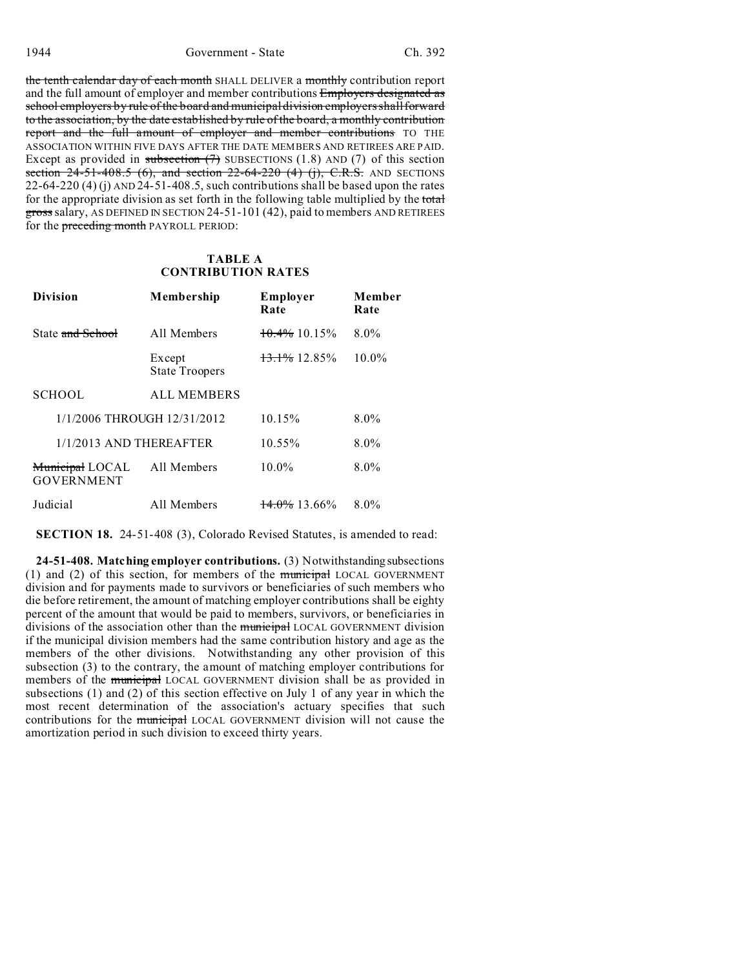the tenth calendar day of each month SHALL DELIVER a monthly contribution report and the full amount of employer and member contributions Employers designated as school employers by rule of the board and municipal division employers shall forward to the association, by the date established by rule of the board, a monthly contribution report and the full amount of employer and member contributions TO THE ASSOCIATION WITHIN FIVE DAYS AFTER THE DATE MEMBERS AND RETIREES ARE PAID. Except as provided in subsection  $(7)$  SUBSECTIONS (1.8) AND (7) of this section section  $24-51-408.5$  (6), and section  $22-64-220$  (4) (j), C.R.S. AND SECTIONS 22-64-220 (4) (j) AND  $\frac{24-51-408.5}{5}$ , such contributions shall be based upon the rates for the appropriate division as set forth in the following table multiplied by the total gross salary, AS DEFINED IN SECTION 24-51-101 (42), paid to members AND RETIREES for the **preceding month** PAYROLL PERIOD:

## **TABLE A CONTRIBUTION RATES**

| <b>Division</b>                      | Membership                      | Employer<br>Rate        | Member<br>Rate |
|--------------------------------------|---------------------------------|-------------------------|----------------|
| State and School                     | All Members                     | $10.4\%$ 10.15%         | $8.0\%$        |
|                                      | Except<br><b>State Troopers</b> | 13.1% 12.85%            | $10.0\%$       |
| <b>SCHOOL</b>                        | <b>ALL MEMBERS</b>              |                         |                |
| 1/1/2006 THROUGH 12/31/2012          |                                 | 10.15%                  | $8.0\%$        |
| $1/1/2013$ AND THEREAFTER            |                                 | $10.55\%$               | $8.0\%$        |
| Municipal LOCAL<br><b>GOVERNMENT</b> | All Members                     | $10.0\%$                | $8.0\%$        |
| Judicial                             | All Members                     | <del>14.0%</del> 13.66% | $8.0\%$        |

**SECTION 18.** 24-51-408 (3), Colorado Revised Statutes, is amended to read:

**24-51-408. Matching employer contributions.** (3) Notwithstanding subsections (1) and (2) of this section, for members of the municipal LOCAL GOVERNMENT division and for payments made to survivors or beneficiaries of such members who die before retirement, the amount of matching employer contributions shall be eighty percent of the amount that would be paid to members, survivors, or beneficiaries in divisions of the association other than the municipal LOCAL GOVERNMENT division if the municipal division members had the same contribution history and age as the members of the other divisions. Notwithstanding any other provision of this subsection (3) to the contrary, the amount of matching employer contributions for members of the municipal LOCAL GOVERNMENT division shall be as provided in subsections (1) and (2) of this section effective on July 1 of any year in which the most recent determination of the association's actuary specifies that such contributions for the *municipal* LOCAL GOVERNMENT division will not cause the amortization period in such division to exceed thirty years.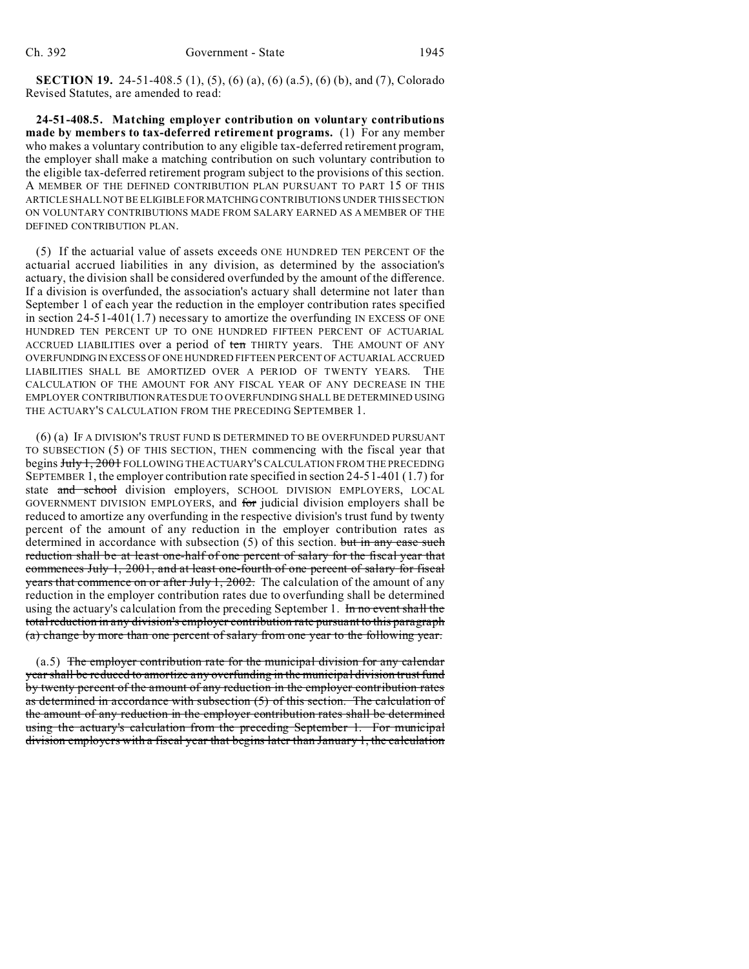**SECTION 19.** 24-51-408.5 (1), (5), (6) (a), (6) (a.5), (6) (b), and (7), Colorado Revised Statutes, are amended to read:

**24-51-408.5. Matching employer contribution on voluntary contributions made by members to tax-deferred retirement programs.** (1) For any member who makes a voluntary contribution to any eligible tax-deferred retirement program, the employer shall make a matching contribution on such voluntary contribution to the eligible tax-deferred retirement program subject to the provisions of this section. A MEMBER OF THE DEFINED CONTRIBUTION PLAN PURSUANT TO PART 15 OF THIS ARTICLE SHALL NOT BE ELIGIBLEFORMATCHING CONTRIBUTIONS UNDER THIS SECTION ON VOLUNTARY CONTRIBUTIONS MADE FROM SALARY EARNED AS A MEMBER OF THE DEFINED CONTRIBUTION PLAN.

(5) If the actuarial value of assets exceeds ONE HUNDRED TEN PERCENT OF the actuarial accrued liabilities in any division, as determined by the association's actuary, the division shall be considered overfunded by the amount of the difference. If a division is overfunded, the association's actuary shall determine not later than September 1 of each year the reduction in the employer contribution rates specified in section  $24-51-401(1.7)$  necessary to amortize the overfunding IN EXCESS OF ONE HUNDRED TEN PERCENT UP TO ONE HUNDRED FIFTEEN PERCENT OF ACTUARIAL ACCRUED LIABILITIES over a period of ten THIRTY years. THE AMOUNT OF ANY OVERFUNDING IN EXCESS OF ONE HUNDRED FIFTEEN PERCENT OF ACTUARIAL ACCRUED LIABILITIES SHALL BE AMORTIZED OVER A PERIOD OF TWENTY YEARS. THE CALCULATION OF THE AMOUNT FOR ANY FISCAL YEAR OF ANY DECREASE IN THE EMPLOYER CONTRIBUTIONRATESDUE TO OVERFUNDING SHALL BE DETERMINED USING THE ACTUARY'S CALCULATION FROM THE PRECEDING SEPTEMBER 1.

(6) (a) IF A DIVISION'S TRUST FUND IS DETERMINED TO BE OVERFUNDED PURSUANT TO SUBSECTION (5) OF THIS SECTION, THEN commencing with the fiscal year that begins July 1, 2001 FOLLOWING THE ACTUARY'S CALCULATION FROM THE PRECEDING SEPTEMBER 1, the employer contribution rate specified in section 24-51-401 (1.7) for state and school division employers, SCHOOL DIVISION EMPLOYERS, LOCAL GOVERNMENT DIVISION EMPLOYERS, and for judicial division employers shall be reduced to amortize any overfunding in the respective division's trust fund by twenty percent of the amount of any reduction in the employer contribution rates as determined in accordance with subsection  $(5)$  of this section. but in any case such reduction shall be at least one-half of one percent of salary for the fiscal year that commences July 1, 2001, and at least one-fourth of one percent of salary for fiscal years that commence on or after July 1, 2002. The calculation of the amount of any reduction in the employer contribution rates due to overfunding shall be determined using the actuary's calculation from the preceding September 1. In no event shall the total reduction in any division's employer contribution rate pursuant to this paragraph (a) change by more than one percent of salary from one year to the following year.

(a.5) The employer contribution rate for the municipal division for any calendar year shall be reduced to amortize any overfunding in the municipal division trust fund by twenty percent of the amount of any reduction in the employer contribution rates as determined in accordance with subsection (5) of this section. The calculation of the amount of any reduction in the employer contribution rates shall be determined using the actuary's calculation from the preceding September 1. For municipal division employers with a fiscal year that begins later than January 1, the calculation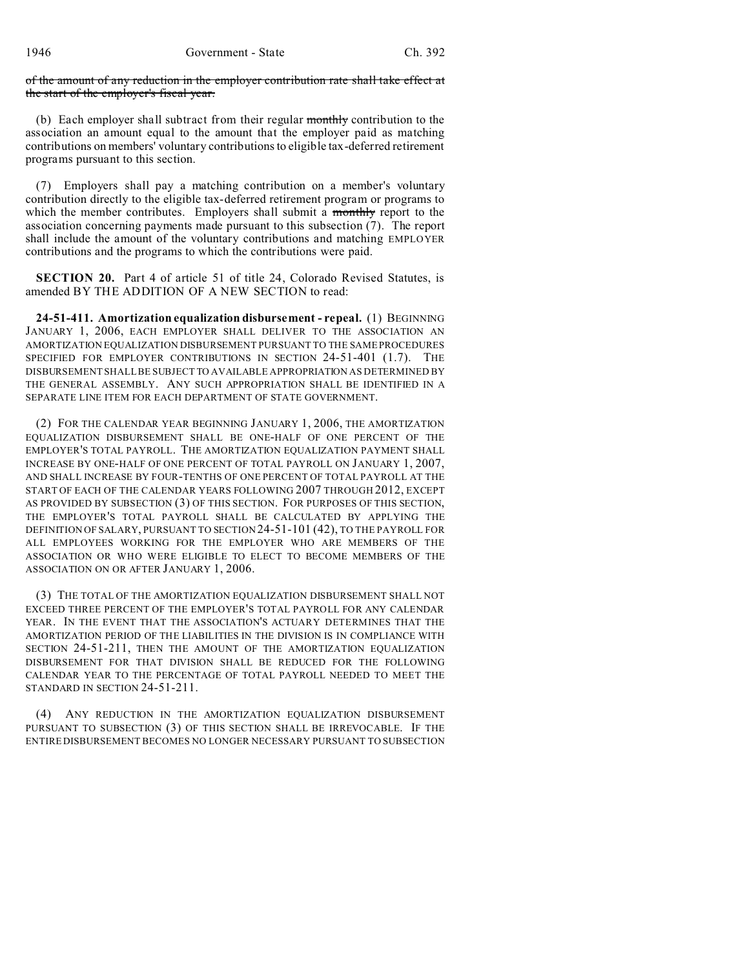of the amount of any reduction in the employer contribution rate shall take effect at the start of the employer's fiscal year.

(b) Each employer shall subtract from their regular monthly contribution to the association an amount equal to the amount that the employer paid as matching contributions on members' voluntary contributions to eligible tax-deferred retirement programs pursuant to this section.

(7) Employers shall pay a matching contribution on a member's voluntary contribution directly to the eligible tax-deferred retirement program or programs to which the member contributes. Employers shall submit a monthly report to the association concerning payments made pursuant to this subsection (7). The report shall include the amount of the voluntary contributions and matching EMPLOYER contributions and the programs to which the contributions were paid.

**SECTION 20.** Part 4 of article 51 of title 24, Colorado Revised Statutes, is amended BY THE ADDITION OF A NEW SECTION to read:

**24-51-411. Amortization equalization disbursement - repeal.** (1) BEGINNING JANUARY 1, 2006, EACH EMPLOYER SHALL DELIVER TO THE ASSOCIATION AN AMORTIZATION EQUALIZATION DISBURSEMENT PURSUANT TO THE SAME PROCEDURES SPECIFIED FOR EMPLOYER CONTRIBUTIONS IN SECTION 24-51-401 (1.7). THE DISBURSEMENT SHALL BE SUBJECT TO AVAILABLE APPROPRIATION AS DETERMINED BY THE GENERAL ASSEMBLY. ANY SUCH APPROPRIATION SHALL BE IDENTIFIED IN A SEPARATE LINE ITEM FOR EACH DEPARTMENT OF STATE GOVERNMENT.

(2) FOR THE CALENDAR YEAR BEGINNING JANUARY 1, 2006, THE AMORTIZATION EQUALIZATION DISBURSEMENT SHALL BE ONE-HALF OF ONE PERCENT OF THE EMPLOYER'S TOTAL PAYROLL. THE AMORTIZATION EQUALIZATION PAYMENT SHALL INCREASE BY ONE-HALF OF ONE PERCENT OF TOTAL PAYROLL ON JANUARY 1, 2007, AND SHALL INCREASE BY FOUR-TENTHS OF ONE PERCENT OF TOTAL PAYROLL AT THE START OF EACH OF THE CALENDAR YEARS FOLLOWING 2007 THROUGH 2012, EXCEPT AS PROVIDED BY SUBSECTION (3) OF THIS SECTION. FOR PURPOSES OF THIS SECTION, THE EMPLOYER'S TOTAL PAYROLL SHALL BE CALCULATED BY APPLYING THE DEFINITION OF SALARY, PURSUANT TO SECTION 24-51-101 (42), TO THE PAYROLL FOR ALL EMPLOYEES WORKING FOR THE EMPLOYER WHO ARE MEMBERS OF THE ASSOCIATION OR WHO WERE ELIGIBLE TO ELECT TO BECOME MEMBERS OF THE ASSOCIATION ON OR AFTER JANUARY 1, 2006.

(3) THE TOTAL OF THE AMORTIZATION EQUALIZATION DISBURSEMENT SHALL NOT EXCEED THREE PERCENT OF THE EMPLOYER'S TOTAL PAYROLL FOR ANY CALENDAR YEAR. IN THE EVENT THAT THE ASSOCIATION'S ACTUARY DETERMINES THAT THE AMORTIZATION PERIOD OF THE LIABILITIES IN THE DIVISION IS IN COMPLIANCE WITH SECTION 24-51-211, THEN THE AMOUNT OF THE AMORTIZATION EQUALIZATION DISBURSEMENT FOR THAT DIVISION SHALL BE REDUCED FOR THE FOLLOWING CALENDAR YEAR TO THE PERCENTAGE OF TOTAL PAYROLL NEEDED TO MEET THE STANDARD IN SECTION 24-51-211.

(4) ANY REDUCTION IN THE AMORTIZATION EQUALIZATION DISBURSEMENT PURSUANT TO SUBSECTION (3) OF THIS SECTION SHALL BE IRREVOCABLE. IF THE ENTIRE DISBURSEMENT BECOMES NO LONGER NECESSARY PURSUANT TO SUBSECTION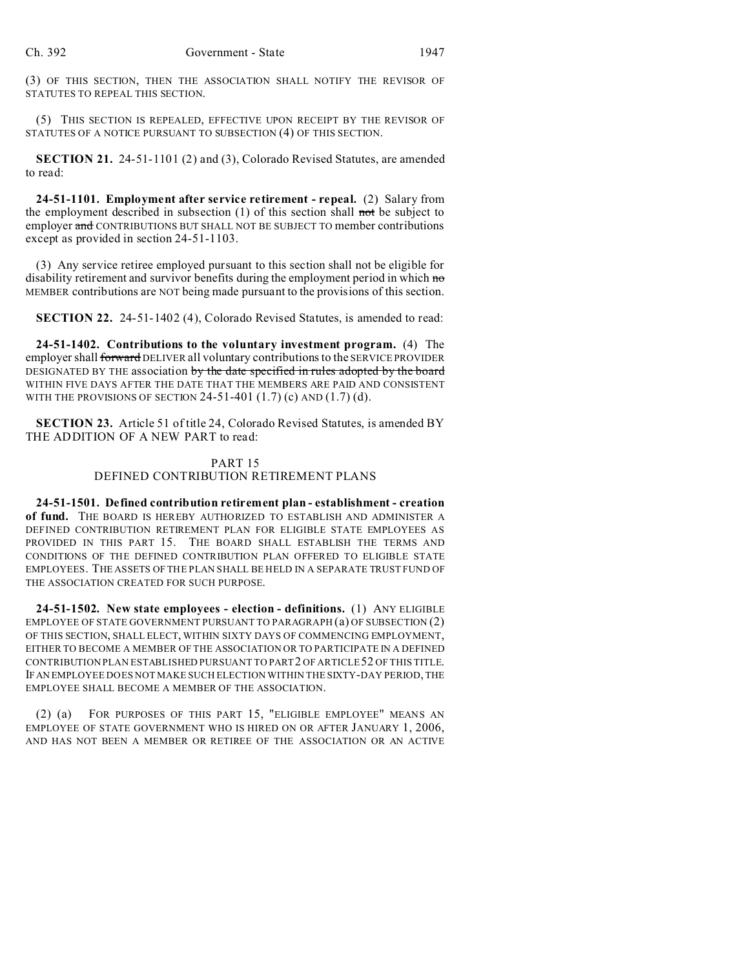(3) OF THIS SECTION, THEN THE ASSOCIATION SHALL NOTIFY THE REVISOR OF STATUTES TO REPEAL THIS SECTION.

(5) THIS SECTION IS REPEALED, EFFECTIVE UPON RECEIPT BY THE REVISOR OF STATUTES OF A NOTICE PURSUANT TO SUBSECTION (4) OF THIS SECTION.

**SECTION 21.** 24-51-1101 (2) and (3), Colorado Revised Statutes, are amended to read:

**24-51-1101. Employment after service retirement - repeal.** (2) Salary from the employment described in subsection  $(1)$  of this section shall not be subject to employer and CONTRIBUTIONS BUT SHALL NOT BE SUBJECT TO member contributions except as provided in section 24-51-1103.

(3) Any service retiree employed pursuant to this section shall not be eligible for disability retirement and survivor benefits during the employment period in which no MEMBER contributions are NOT being made pursuant to the provisions of this section.

**SECTION 22.** 24-51-1402 (4), Colorado Revised Statutes, is amended to read:

**24-51-1402. Contributions to the voluntary investment program.** (4) The employer shall forward DELIVER all voluntary contributions to the SERVICE PROVIDER DESIGNATED BY THE association by the date specified in rules adopted by the board WITHIN FIVE DAYS AFTER THE DATE THAT THE MEMBERS ARE PAID AND CONSISTENT WITH THE PROVISIONS OF SECTION  $24-51-401$   $(1.7)$  (c) AND  $(1.7)$  (d).

**SECTION 23.** Article 51 of title 24, Colorado Revised Statutes, is amended BY THE ADDITION OF A NEW PART to read:

### PART 15

#### DEFINED CONTRIBUTION RETIREMENT PLANS

**24-51-1501. Defined contribution retirement plan - establishment - creation of fund.** THE BOARD IS HEREBY AUTHORIZED TO ESTABLISH AND ADMINISTER A DEFINED CONTRIBUTION RETIREMENT PLAN FOR ELIGIBLE STATE EMPLOYEES AS PROVIDED IN THIS PART 15. THE BOARD SHALL ESTABLISH THE TERMS AND CONDITIONS OF THE DEFINED CONTRIBUTION PLAN OFFERED TO ELIGIBLE STATE EMPLOYEES. THE ASSETS OF THE PLAN SHALL BE HELD IN A SEPARATE TRUST FUND OF THE ASSOCIATION CREATED FOR SUCH PURPOSE.

**24-51-1502. New state employees - election - definitions.** (1) ANY ELIGIBLE EMPLOYEE OF STATE GOVERNMENT PURSUANT TO PARAGRAPH (a) OF SUBSECTION (2) OF THIS SECTION, SHALL ELECT, WITHIN SIXTY DAYS OF COMMENCING EMPLOYMENT, EITHER TO BECOME A MEMBER OF THE ASSOCIATION OR TO PARTICIPATE IN A DEFINED CONTRIBUTION PLAN ESTABLISHED PURSUANT TO PART2 OF ARTICLE 52 OF THIS TITLE. IFAN EMPLOYEE DOES NOT MAKE SUCH ELECTION WITHIN THE SIXTY-DAY PERIOD, THE EMPLOYEE SHALL BECOME A MEMBER OF THE ASSOCIATION.

(2) (a) FOR PURPOSES OF THIS PART 15, "ELIGIBLE EMPLOYEE" MEANS AN EMPLOYEE OF STATE GOVERNMENT WHO IS HIRED ON OR AFTER JANUARY 1, 2006, AND HAS NOT BEEN A MEMBER OR RETIREE OF THE ASSOCIATION OR AN ACTIVE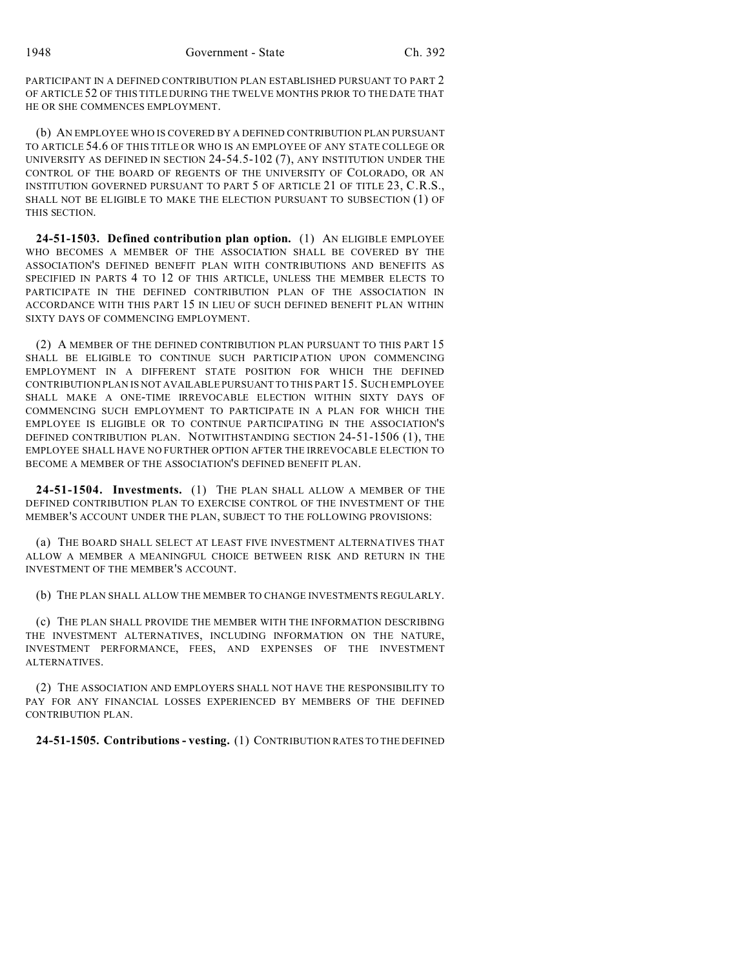PARTICIPANT IN A DEFINED CONTRIBUTION PLAN ESTABLISHED PURSUANT TO PART 2 OF ARTICLE 52 OF THIS TITLE DURING THE TWELVE MONTHS PRIOR TO THE DATE THAT HE OR SHE COMMENCES EMPLOYMENT.

(b) AN EMPLOYEE WHO IS COVERED BY A DEFINED CONTRIBUTION PLAN PURSUANT TO ARTICLE 54.6 OF THIS TITLE OR WHO IS AN EMPLOYEE OF ANY STATE COLLEGE OR UNIVERSITY AS DEFINED IN SECTION 24-54.5-102 (7), ANY INSTITUTION UNDER THE CONTROL OF THE BOARD OF REGENTS OF THE UNIVERSITY OF COLORADO, OR AN INSTITUTION GOVERNED PURSUANT TO PART 5 OF ARTICLE 21 OF TITLE 23, C.R.S., SHALL NOT BE ELIGIBLE TO MAKE THE ELECTION PURSUANT TO SUBSECTION (1) OF THIS SECTION.

**24-51-1503. Defined contribution plan option.** (1) AN ELIGIBLE EMPLOYEE WHO BECOMES A MEMBER OF THE ASSOCIATION SHALL BE COVERED BY THE ASSOCIATION'S DEFINED BENEFIT PLAN WITH CONTRIBUTIONS AND BENEFITS AS SPECIFIED IN PARTS 4 TO 12 OF THIS ARTICLE, UNLESS THE MEMBER ELECTS TO PARTICIPATE IN THE DEFINED CONTRIBUTION PLAN OF THE ASSOCIATION IN ACCORDANCE WITH THIS PART 15 IN LIEU OF SUCH DEFINED BENEFIT PLAN WITHIN SIXTY DAYS OF COMMENCING EMPLOYMENT.

(2) A MEMBER OF THE DEFINED CONTRIBUTION PLAN PURSUANT TO THIS PART 15 SHALL BE ELIGIBLE TO CONTINUE SUCH PARTICIPATION UPON COMMENCING EMPLOYMENT IN A DIFFERENT STATE POSITION FOR WHICH THE DEFINED CONTRIBUTION PLAN IS NOT AVAILABLE PURSUANT TO THIS PART 15. SUCH EMPLOYEE SHALL MAKE A ONE-TIME IRREVOCABLE ELECTION WITHIN SIXTY DAYS OF COMMENCING SUCH EMPLOYMENT TO PARTICIPATE IN A PLAN FOR WHICH THE EMPLOYEE IS ELIGIBLE OR TO CONTINUE PARTICIPATING IN THE ASSOCIATION'S DEFINED CONTRIBUTION PLAN. NOTWITHSTANDING SECTION 24-51-1506 (1), THE EMPLOYEE SHALL HAVE NO FURTHER OPTION AFTER THE IRREVOCABLE ELECTION TO BECOME A MEMBER OF THE ASSOCIATION'S DEFINED BENEFIT PLAN.

**24-51-1504. Investments.** (1) THE PLAN SHALL ALLOW A MEMBER OF THE DEFINED CONTRIBUTION PLAN TO EXERCISE CONTROL OF THE INVESTMENT OF THE MEMBER'S ACCOUNT UNDER THE PLAN, SUBJECT TO THE FOLLOWING PROVISIONS:

(a) THE BOARD SHALL SELECT AT LEAST FIVE INVESTMENT ALTERNATIVES THAT ALLOW A MEMBER A MEANINGFUL CHOICE BETWEEN RISK AND RETURN IN THE INVESTMENT OF THE MEMBER'S ACCOUNT.

(b) THE PLAN SHALL ALLOW THE MEMBER TO CHANGE INVESTMENTS REGULARLY.

(c) THE PLAN SHALL PROVIDE THE MEMBER WITH THE INFORMATION DESCRIBING THE INVESTMENT ALTERNATIVES, INCLUDING INFORMATION ON THE NATURE, INVESTMENT PERFORMANCE, FEES, AND EXPENSES OF THE INVESTMENT ALTERNATIVES.

(2) THE ASSOCIATION AND EMPLOYERS SHALL NOT HAVE THE RESPONSIBILITY TO PAY FOR ANY FINANCIAL LOSSES EXPERIENCED BY MEMBERS OF THE DEFINED CONTRIBUTION PLAN.

**24-51-1505. Contributions - vesting.** (1) CONTRIBUTION RATES TO THE DEFINED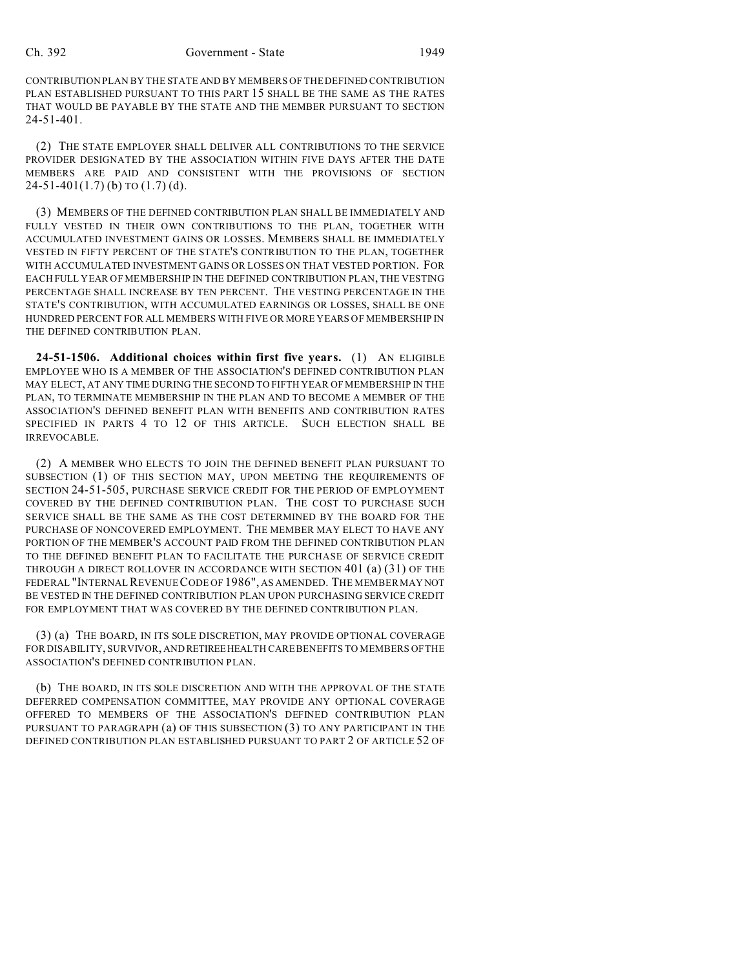CONTRIBUTION PLAN BY THE STATE AND BY MEMBERS OF THE DEFINED CONTRIBUTION PLAN ESTABLISHED PURSUANT TO THIS PART 15 SHALL BE THE SAME AS THE RATES THAT WOULD BE PAYABLE BY THE STATE AND THE MEMBER PURSUANT TO SECTION 24-51-401.

(2) THE STATE EMPLOYER SHALL DELIVER ALL CONTRIBUTIONS TO THE SERVICE PROVIDER DESIGNATED BY THE ASSOCIATION WITHIN FIVE DAYS AFTER THE DATE MEMBERS ARE PAID AND CONSISTENT WITH THE PROVISIONS OF SECTION  $24-51-401(1.7)$  (b) TO  $(1.7)$  (d).

(3) MEMBERS OF THE DEFINED CONTRIBUTION PLAN SHALL BE IMMEDIATELY AND FULLY VESTED IN THEIR OWN CONTRIBUTIONS TO THE PLAN, TOGETHER WITH ACCUMULATED INVESTMENT GAINS OR LOSSES. MEMBERS SHALL BE IMMEDIATELY VESTED IN FIFTY PERCENT OF THE STATE'S CONTRIBUTION TO THE PLAN, TOGETHER WITH ACCUMULATED INVESTMENT GAINS OR LOSSES ON THAT VESTED PORTION. FOR EACH FULL YEAR OF MEMBERSHIP IN THE DEFINED CONTRIBUTION PLAN, THE VESTING PERCENTAGE SHALL INCREASE BY TEN PERCENT. THE VESTING PERCENTAGE IN THE STATE'S CONTRIBUTION, WITH ACCUMULATED EARNINGS OR LOSSES, SHALL BE ONE HUNDRED PERCENT FOR ALL MEMBERS WITH FIVE OR MORE YEARS OF MEMBERSHIP IN THE DEFINED CONTRIBUTION PLAN.

**24-51-1506. Additional choices within first five years.** (1) AN ELIGIBLE EMPLOYEE WHO IS A MEMBER OF THE ASSOCIATION'S DEFINED CONTRIBUTION PLAN MAY ELECT, AT ANY TIME DURING THE SECOND TO FIFTH YEAR OF MEMBERSHIP IN THE PLAN, TO TERMINATE MEMBERSHIP IN THE PLAN AND TO BECOME A MEMBER OF THE ASSOCIATION'S DEFINED BENEFIT PLAN WITH BENEFITS AND CONTRIBUTION RATES SPECIFIED IN PARTS 4 TO 12 OF THIS ARTICLE. SUCH ELECTION SHALL BE IRREVOCABLE.

(2) A MEMBER WHO ELECTS TO JOIN THE DEFINED BENEFIT PLAN PURSUANT TO SUBSECTION (1) OF THIS SECTION MAY, UPON MEETING THE REQUIREMENTS OF SECTION 24-51-505, PURCHASE SERVICE CREDIT FOR THE PERIOD OF EMPLOYMENT COVERED BY THE DEFINED CONTRIBUTION PLAN. THE COST TO PURCHASE SUCH SERVICE SHALL BE THE SAME AS THE COST DETERMINED BY THE BOARD FOR THE PURCHASE OF NONCOVERED EMPLOYMENT. THE MEMBER MAY ELECT TO HAVE ANY PORTION OF THE MEMBER'S ACCOUNT PAID FROM THE DEFINED CONTRIBUTION PLAN TO THE DEFINED BENEFIT PLAN TO FACILITATE THE PURCHASE OF SERVICE CREDIT THROUGH A DIRECT ROLLOVER IN ACCORDANCE WITH SECTION 401 (a) (31) OF THE FEDERAL "INTERNAL REVENUE CODE OF 1986", AS AMENDED. THE MEMBER MAY NOT BE VESTED IN THE DEFINED CONTRIBUTION PLAN UPON PURCHASING SERVICE CREDIT FOR EMPLOYMENT THAT WAS COVERED BY THE DEFINED CONTRIBUTION PLAN.

(3) (a) THE BOARD, IN ITS SOLE DISCRETION, MAY PROVIDE OPTIONAL COVERAGE FOR DISABILITY, SURVIVOR, AND RETIREEHEALTH CARE BENEFITS TO MEMBERS OF THE ASSOCIATION'S DEFINED CONTRIBUTION PLAN.

(b) THE BOARD, IN ITS SOLE DISCRETION AND WITH THE APPROVAL OF THE STATE DEFERRED COMPENSATION COMMITTEE, MAY PROVIDE ANY OPTIONAL COVERAGE OFFERED TO MEMBERS OF THE ASSOCIATION'S DEFINED CONTRIBUTION PLAN PURSUANT TO PARAGRAPH (a) OF THIS SUBSECTION (3) TO ANY PARTICIPANT IN THE DEFINED CONTRIBUTION PLAN ESTABLISHED PURSUANT TO PART 2 OF ARTICLE 52 OF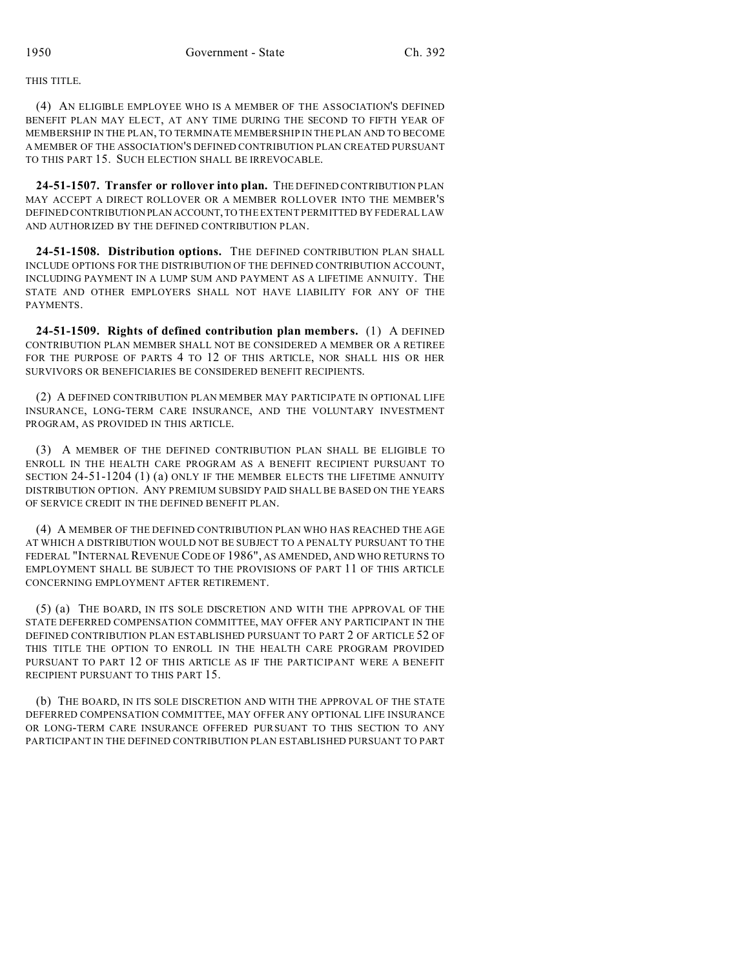## THIS TITLE.

(4) AN ELIGIBLE EMPLOYEE WHO IS A MEMBER OF THE ASSOCIATION'S DEFINED BENEFIT PLAN MAY ELECT, AT ANY TIME DURING THE SECOND TO FIFTH YEAR OF MEMBERSHIP IN THE PLAN, TO TERMINATE MEMBERSHIP IN THE PLAN AND TO BECOME A MEMBER OF THE ASSOCIATION'S DEFINED CONTRIBUTION PLAN CREATED PURSUANT TO THIS PART 15. SUCH ELECTION SHALL BE IRREVOCABLE.

**24-51-1507. Transfer or rollover into plan.** THE DEFINED CONTRIBUTION PLAN MAY ACCEPT A DIRECT ROLLOVER OR A MEMBER ROLLOVER INTO THE MEMBER'S DEFINED CONTRIBUTION PLAN ACCOUNT,TO THE EXTENT PERMITTED BY FEDERAL LAW AND AUTHORIZED BY THE DEFINED CONTRIBUTION PLAN.

**24-51-1508. Distribution options.** THE DEFINED CONTRIBUTION PLAN SHALL INCLUDE OPTIONS FOR THE DISTRIBUTION OF THE DEFINED CONTRIBUTION ACCOUNT, INCLUDING PAYMENT IN A LUMP SUM AND PAYMENT AS A LIFETIME ANNUITY. THE STATE AND OTHER EMPLOYERS SHALL NOT HAVE LIABILITY FOR ANY OF THE **PAYMENTS** 

**24-51-1509. Rights of defined contribution plan members.** (1) A DEFINED CONTRIBUTION PLAN MEMBER SHALL NOT BE CONSIDERED A MEMBER OR A RETIREE FOR THE PURPOSE OF PARTS 4 TO 12 OF THIS ARTICLE, NOR SHALL HIS OR HER SURVIVORS OR BENEFICIARIES BE CONSIDERED BENEFIT RECIPIENTS.

(2) A DEFINED CONTRIBUTION PLAN MEMBER MAY PARTICIPATE IN OPTIONAL LIFE INSURANCE, LONG-TERM CARE INSURANCE, AND THE VOLUNTARY INVESTMENT PROGRAM, AS PROVIDED IN THIS ARTICLE.

(3) A MEMBER OF THE DEFINED CONTRIBUTION PLAN SHALL BE ELIGIBLE TO ENROLL IN THE HEALTH CARE PROGRAM AS A BENEFIT RECIPIENT PURSUANT TO SECTION 24-51-1204 (1) (a) ONLY IF THE MEMBER ELECTS THE LIFETIME ANNUITY DISTRIBUTION OPTION. ANY PREMIUM SUBSIDY PAID SHALL BE BASED ON THE YEARS OF SERVICE CREDIT IN THE DEFINED BENEFIT PLAN.

(4) A MEMBER OF THE DEFINED CONTRIBUTION PLAN WHO HAS REACHED THE AGE AT WHICH A DISTRIBUTION WOULD NOT BE SUBJECT TO A PENALTY PURSUANT TO THE FEDERAL "INTERNAL REVENUE CODE OF 1986", AS AMENDED, AND WHO RETURNS TO EMPLOYMENT SHALL BE SUBJECT TO THE PROVISIONS OF PART 11 OF THIS ARTICLE CONCERNING EMPLOYMENT AFTER RETIREMENT.

(5) (a) THE BOARD, IN ITS SOLE DISCRETION AND WITH THE APPROVAL OF THE STATE DEFERRED COMPENSATION COMMITTEE, MAY OFFER ANY PARTICIPANT IN THE DEFINED CONTRIBUTION PLAN ESTABLISHED PURSUANT TO PART 2 OF ARTICLE 52 OF THIS TITLE THE OPTION TO ENROLL IN THE HEALTH CARE PROGRAM PROVIDED PURSUANT TO PART 12 OF THIS ARTICLE AS IF THE PARTICIPANT WERE A BENEFIT RECIPIENT PURSUANT TO THIS PART 15.

(b) THE BOARD, IN ITS SOLE DISCRETION AND WITH THE APPROVAL OF THE STATE DEFERRED COMPENSATION COMMITTEE, MAY OFFER ANY OPTIONAL LIFE INSURANCE OR LONG-TERM CARE INSURANCE OFFERED PURSUANT TO THIS SECTION TO ANY PARTICIPANT IN THE DEFINED CONTRIBUTION PLAN ESTABLISHED PURSUANT TO PART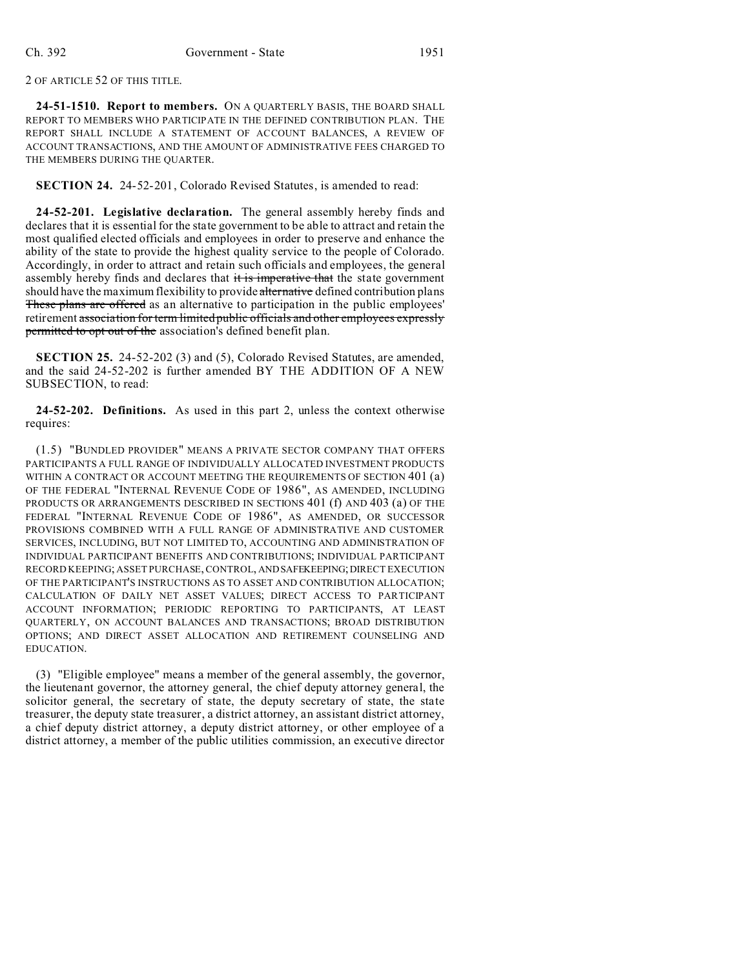2 OF ARTICLE 52 OF THIS TITLE.

**24-51-1510. Report to members.** ON A QUARTERLY BASIS, THE BOARD SHALL REPORT TO MEMBERS WHO PARTICIPATE IN THE DEFINED CONTRIBUTION PLAN. THE REPORT SHALL INCLUDE A STATEMENT OF ACCOUNT BALANCES, A REVIEW OF ACCOUNT TRANSACTIONS, AND THE AMOUNT OF ADMINISTRATIVE FEES CHARGED TO THE MEMBERS DURING THE QUARTER.

**SECTION 24.** 24-52-201, Colorado Revised Statutes, is amended to read:

**24-52-201. Legislative declaration.** The general assembly hereby finds and declares that it is essential for the state government to be able to attract and retain the most qualified elected officials and employees in order to preserve and enhance the ability of the state to provide the highest quality service to the people of Colorado. Accordingly, in order to attract and retain such officials and employees, the general assembly hereby finds and declares that it is imperative that the state government should have the maximum flexibility to provide alternative defined contribution plans These plans are offered as an alternative to participation in the public employees' retirement association for term limited public officials and other employees expressly permitted to opt out of the association's defined benefit plan.

**SECTION 25.** 24-52-202 (3) and (5), Colorado Revised Statutes, are amended, and the said 24-52-202 is further amended BY THE ADDITION OF A NEW SUBSECTION, to read:

**24-52-202. Definitions.** As used in this part 2, unless the context otherwise requires:

(1.5) "BUNDLED PROVIDER" MEANS A PRIVATE SECTOR COMPANY THAT OFFERS PARTICIPANTS A FULL RANGE OF INDIVIDUALLY ALLOCATED INVESTMENT PRODUCTS WITHIN A CONTRACT OR ACCOUNT MEETING THE REQUIREMENTS OF SECTION 401 (a) OF THE FEDERAL "INTERNAL REVENUE CODE OF 1986", AS AMENDED, INCLUDING PRODUCTS OR ARRANGEMENTS DESCRIBED IN SECTIONS 401 (f) AND 403 (a) OF THE FEDERAL "INTERNAL REVENUE CODE OF 1986", AS AMENDED, OR SUCCESSOR PROVISIONS COMBINED WITH A FULL RANGE OF ADMINISTRATIVE AND CUSTOMER SERVICES, INCLUDING, BUT NOT LIMITED TO, ACCOUNTING AND ADMINISTRATION OF INDIVIDUAL PARTICIPANT BENEFITS AND CONTRIBUTIONS; INDIVIDUAL PARTICIPANT RECORD KEEPING; ASSET PURCHASE, CONTROL, ANDSAFEKEEPING;DIRECT EXECUTION OF THE PARTICIPANT'S INSTRUCTIONS AS TO ASSET AND CONTRIBUTION ALLOCATION; CALCULATION OF DAILY NET ASSET VALUES; DIRECT ACCESS TO PARTICIPANT ACCOUNT INFORMATION; PERIODIC REPORTING TO PARTICIPANTS, AT LEAST QUARTERLY, ON ACCOUNT BALANCES AND TRANSACTIONS; BROAD DISTRIBUTION OPTIONS; AND DIRECT ASSET ALLOCATION AND RETIREMENT COUNSELING AND EDUCATION.

(3) "Eligible employee" means a member of the general assembly, the governor, the lieutenant governor, the attorney general, the chief deputy attorney general, the solicitor general, the secretary of state, the deputy secretary of state, the state treasurer, the deputy state treasurer, a district attorney, an assistant district attorney, a chief deputy district attorney, a deputy district attorney, or other employee of a district attorney, a member of the public utilities commission, an executive director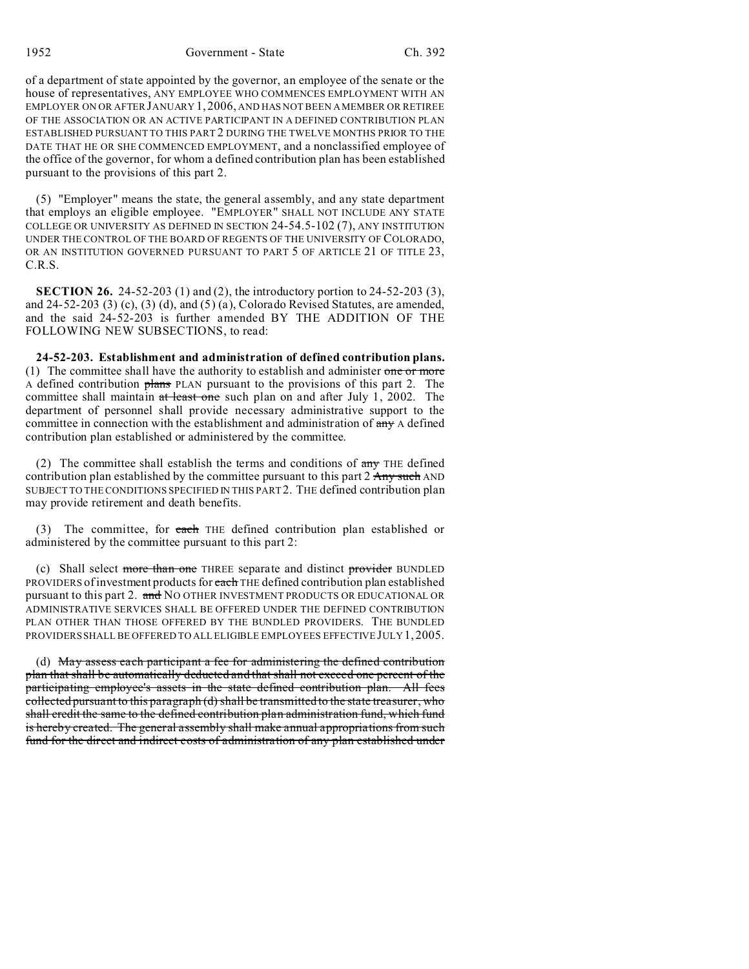1952 Government - State Ch. 392

of a department of state appointed by the governor, an employee of the senate or the house of representatives, ANY EMPLOYEE WHO COMMENCES EMPLOYMENT WITH AN EMPLOYER ON OR AFTER JANUARY 1, 2006, AND HAS NOT BEEN A MEMBER OR RETIREE OF THE ASSOCIATION OR AN ACTIVE PARTICIPANT IN A DEFINED CONTRIBUTION PLAN ESTABLISHED PURSUANT TO THIS PART 2 DURING THE TWELVE MONTHS PRIOR TO THE DATE THAT HE OR SHE COMMENCED EMPLOYMENT, and a nonclassified employee of the office of the governor, for whom a defined contribution plan has been established pursuant to the provisions of this part 2.

(5) "Employer" means the state, the general assembly, and any state department that employs an eligible employee. "EMPLOYER" SHALL NOT INCLUDE ANY STATE COLLEGE OR UNIVERSITY AS DEFINED IN SECTION 24-54.5-102 (7), ANY INSTITUTION UNDER THE CONTROL OF THE BOARD OF REGENTS OF THE UNIVERSITY OF COLORADO, OR AN INSTITUTION GOVERNED PURSUANT TO PART 5 OF ARTICLE 21 OF TITLE 23, C.R.S.

**SECTION 26.** 24-52-203 (1) and (2), the introductory portion to 24-52-203 (3), and 24-52-203 (3) (c), (3) (d), and (5) (a), Colorado Revised Statutes, are amended, and the said 24-52-203 is further amended BY THE ADDITION OF THE FOLLOWING NEW SUBSECTIONS, to read:

**24-52-203. Establishment and administration of defined contribution plans.** (1) The committee shall have the authority to establish and administer one or more A defined contribution plans PLAN pursuant to the provisions of this part 2. The committee shall maintain at least one such plan on and after July 1, 2002. The department of personnel shall provide necessary administrative support to the committee in connection with the establishment and administration of  $\frac{day}{dx}$  A defined contribution plan established or administered by the committee.

(2) The committee shall establish the terms and conditions of  $\frac{dy}{dx}$  THE defined contribution plan established by the committee pursuant to this part 2 Any such AND SUBJECT TO THE CONDITIONS SPECIFIED IN THIS PART 2. THE defined contribution plan may provide retirement and death benefits.

(3) The committee, for each THE defined contribution plan established or administered by the committee pursuant to this part 2:

(c) Shall select more than one THREE separate and distinct provider BUNDLED PROVIDERS of investment products for each THE defined contribution plan established pursuant to this part 2. and NO OTHER INVESTMENT PRODUCTS OR EDUCATIONAL OR ADMINISTRATIVE SERVICES SHALL BE OFFERED UNDER THE DEFINED CONTRIBUTION PLAN OTHER THAN THOSE OFFERED BY THE BUNDLED PROVIDERS. THE BUNDLED PROVIDERS SHALL BE OFFERED TO ALL ELIGIBLE EMPLOYEES EFFECTIVE JULY 1, 2005.

(d) May assess each participant a fee for administering the defined contribution plan that shall be automatically deducted and that shall not exceed one percent of the participating employee's assets in the state defined contribution plan. All fees collected pursuant to this paragraph (d) shall be transmitted to the state treasurer, who shall credit the same to the defined contribution plan administration fund, which fund is hereby created. The general assembly shall make annual appropriations from such fund for the direct and indirect costs of administration of any plan established under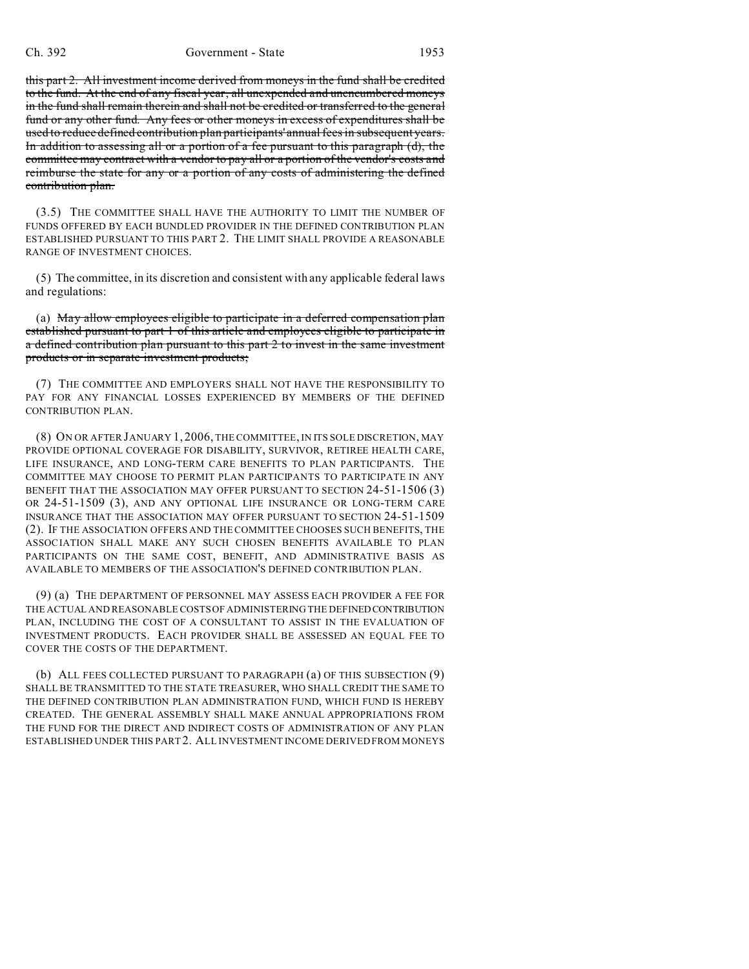this part 2. All investment income derived from moneys in the fund shall be credited to the fund. At the end of any fiscal year, all unexpended and unencumbered moneys in the fund shall remain therein and shall not be credited or transferred to the general fund or any other fund. Any fees or other moneys in excess of expenditures shall be used to reduce defined contribution plan participants' annual fees in subsequent years. In addition to assessing all or a portion of a fee pursuant to this paragraph (d), the committee may contract with a vendor to pay all or a portion of the vendor's costs and reimburse the state for any or a portion of any costs of administering the defined contribution plan.

(3.5) THE COMMITTEE SHALL HAVE THE AUTHORITY TO LIMIT THE NUMBER OF FUNDS OFFERED BY EACH BUNDLED PROVIDER IN THE DEFINED CONTRIBUTION PLAN ESTABLISHED PURSUANT TO THIS PART 2. THE LIMIT SHALL PROVIDE A REASONABLE RANGE OF INVESTMENT CHOICES.

(5) The committee, in its discretion and consistent with any applicable federal laws and regulations:

(a) May allow employees eligible to participate in a deferred compensation plan established pursuant to part 1 of this article and employees eligible to participate in a defined contribution plan pursuant to this part 2 to invest in the same investment products or in separate investment products;

(7) THE COMMITTEE AND EMPLOYERS SHALL NOT HAVE THE RESPONSIBILITY TO PAY FOR ANY FINANCIAL LOSSES EXPERIENCED BY MEMBERS OF THE DEFINED CONTRIBUTION PLAN.

(8) ON OR AFTER JANUARY 1, 2006, THE COMMITTEE, IN ITS SOLE DISCRETION, MAY PROVIDE OPTIONAL COVERAGE FOR DISABILITY, SURVIVOR, RETIREE HEALTH CARE, LIFE INSURANCE, AND LONG-TERM CARE BENEFITS TO PLAN PARTICIPANTS. THE COMMITTEE MAY CHOOSE TO PERMIT PLAN PARTICIPANTS TO PARTICIPATE IN ANY BENEFIT THAT THE ASSOCIATION MAY OFFER PURSUANT TO SECTION 24-51-1506 (3) OR 24-51-1509 (3), AND ANY OPTIONAL LIFE INSURANCE OR LONG-TERM CARE INSURANCE THAT THE ASSOCIATION MAY OFFER PURSUANT TO SECTION 24-51-1509 (2). IF THE ASSOCIATION OFFERS AND THE COMMITTEE CHOOSES SUCH BENEFITS, THE ASSOCIATION SHALL MAKE ANY SUCH CHOSEN BENEFITS AVAILABLE TO PLAN PARTICIPANTS ON THE SAME COST, BENEFIT, AND ADMINISTRATIVE BASIS AS AVAILABLE TO MEMBERS OF THE ASSOCIATION'S DEFINED CONTRIBUTION PLAN.

(9) (a) THE DEPARTMENT OF PERSONNEL MAY ASSESS EACH PROVIDER A FEE FOR THE ACTUAL AND REASONABLE COSTS OF ADMINISTERING THE DEFINEDCONTRIBUTION PLAN, INCLUDING THE COST OF A CONSULTANT TO ASSIST IN THE EVALUATION OF INVESTMENT PRODUCTS. EACH PROVIDER SHALL BE ASSESSED AN EQUAL FEE TO COVER THE COSTS OF THE DEPARTMENT.

(b) ALL FEES COLLECTED PURSUANT TO PARAGRAPH (a) OF THIS SUBSECTION (9) SHALL BE TRANSMITTED TO THE STATE TREASURER, WHO SHALL CREDIT THE SAME TO THE DEFINED CONTRIBUTION PLAN ADMINISTRATION FUND, WHICH FUND IS HEREBY CREATED. THE GENERAL ASSEMBLY SHALL MAKE ANNUAL APPROPRIATIONS FROM THE FUND FOR THE DIRECT AND INDIRECT COSTS OF ADMINISTRATION OF ANY PLAN ESTABLISHED UNDER THIS PART 2. ALL INVESTMENT INCOME DERIVED FROM MONEYS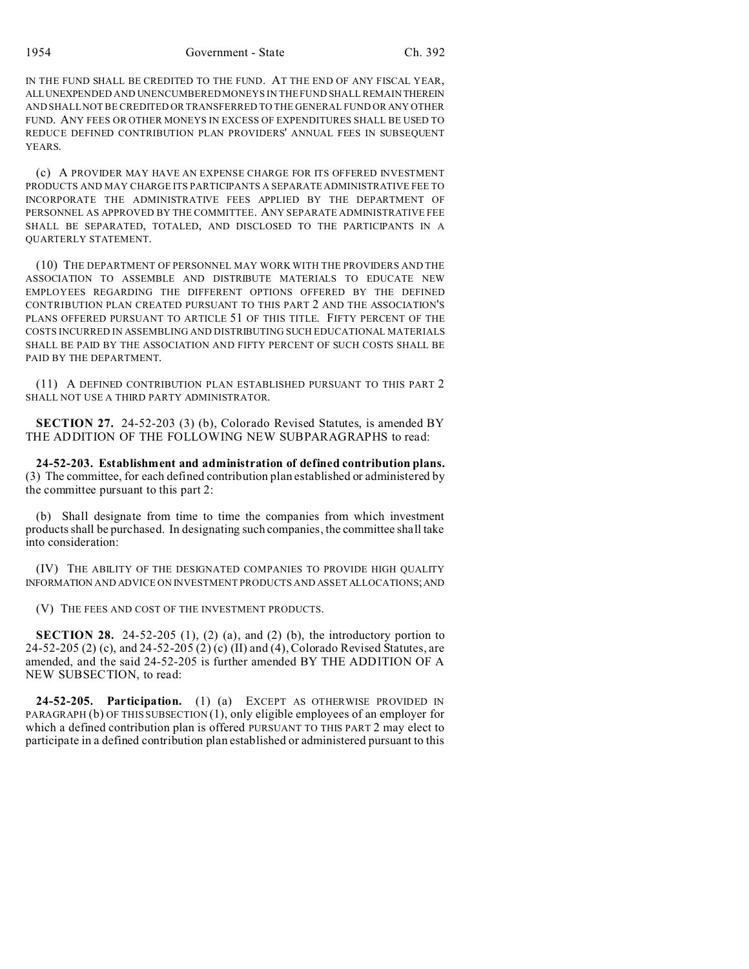1954 Government - State Ch. 392

IN THE FUND SHALL BE CREDITED TO THE FUND. AT THE END OF ANY FISCAL YEAR, ALLUNEXPENDED AND UNENCUMBERED MONEYS IN THE FUND SHALL REMAIN THEREIN AND SHALL NOT BE CREDITED OR TRANSFERRED TO THE GENERAL FUND OR ANY OTHER FUND. ANY FEES OR OTHER MONEYS IN EXCESS OF EXPENDITURES SHALL BE USED TO REDUCE DEFINED CONTRIBUTION PLAN PROVIDERS' ANNUAL FEES IN SUBSEQUENT **YEARS**.

(c) A PROVIDER MAY HAVE AN EXPENSE CHARGE FOR ITS OFFERED INVESTMENT PRODUCTS AND MAY CHARGE ITS PARTICIPANTS A SEPARATE ADMINISTRATIVE FEE TO INCORPORATE THE ADMINISTRATIVE FEES APPLIED BY THE DEPARTMENT OF PERSONNEL AS APPROVED BY THE COMMITTEE. ANY SEPARATE ADMINISTRATIVE FEE SHALL BE SEPARATED, TOTALED, AND DISCLOSED TO THE PARTICIPANTS IN A QUARTERLY STATEMENT.

(10) THE DEPARTMENT OF PERSONNEL MAY WORK WITH THE PROVIDERS AND THE ASSOCIATION TO ASSEMBLE AND DISTRIBUTE MATERIALS TO EDUCATE NEW EMPLOYEES REGARDING THE DIFFERENT OPTIONS OFFERED BY THE DEFINED CONTRIBUTION PLAN CREATED PURSUANT TO THIS PART 2 AND THE ASSOCIATION'S PLANS OFFERED PURSUANT TO ARTICLE 51 OF THIS TITLE. FIFTY PERCENT OF THE COSTS INCURRED IN ASSEMBLING AND DISTRIBUTING SUCH EDUCATIONAL MATERIALS SHALL BE PAID BY THE ASSOCIATION AND FIFTY PERCENT OF SUCH COSTS SHALL BE PAID BY THE DEPARTMENT.

(11) A DEFINED CONTRIBUTION PLAN ESTABLISHED PURSUANT TO THIS PART 2 SHALL NOT USE A THIRD PARTY ADMINISTRATOR.

**SECTION 27.** 24-52-203 (3) (b), Colorado Revised Statutes, is amended BY THE ADDITION OF THE FOLLOWING NEW SUBPARAGRAPHS to read:

**24-52-203. Establishment and administration of defined contribution plans.** (3) The committee, for each defined contribution plan established or administered by the committee pursuant to this part 2:

(b) Shall designate from time to time the companies from which investment products shall be purchased. In designating such companies, the committee shall take into consideration:

(IV) THE ABILITY OF THE DESIGNATED COMPANIES TO PROVIDE HIGH QUALITY INFORMATION AND ADVICE ON INVESTMENT PRODUCTS AND ASSET ALLOCATIONS;AND

(V) THE FEES AND COST OF THE INVESTMENT PRODUCTS.

**SECTION 28.** 24-52-205  $(1)$ ,  $(2)$   $(a)$ , and  $(2)$   $(b)$ , the introductory portion to 24-52-205 (2) (c), and 24-52-205 (2) (c) (II) and (4), Colorado Revised Statutes, are amended, and the said 24-52-205 is further amended BY THE ADDITION OF A NEW SUBSECTION, to read:

**24-52-205. Participation.** (1) (a) EXCEPT AS OTHERWISE PROVIDED IN PARAGRAPH (b) OF THIS SUBSECTION (1), only eligible employees of an employer for which a defined contribution plan is offered PURSUANT TO THIS PART 2 may elect to participate in a defined contribution plan established or administered pursuant to this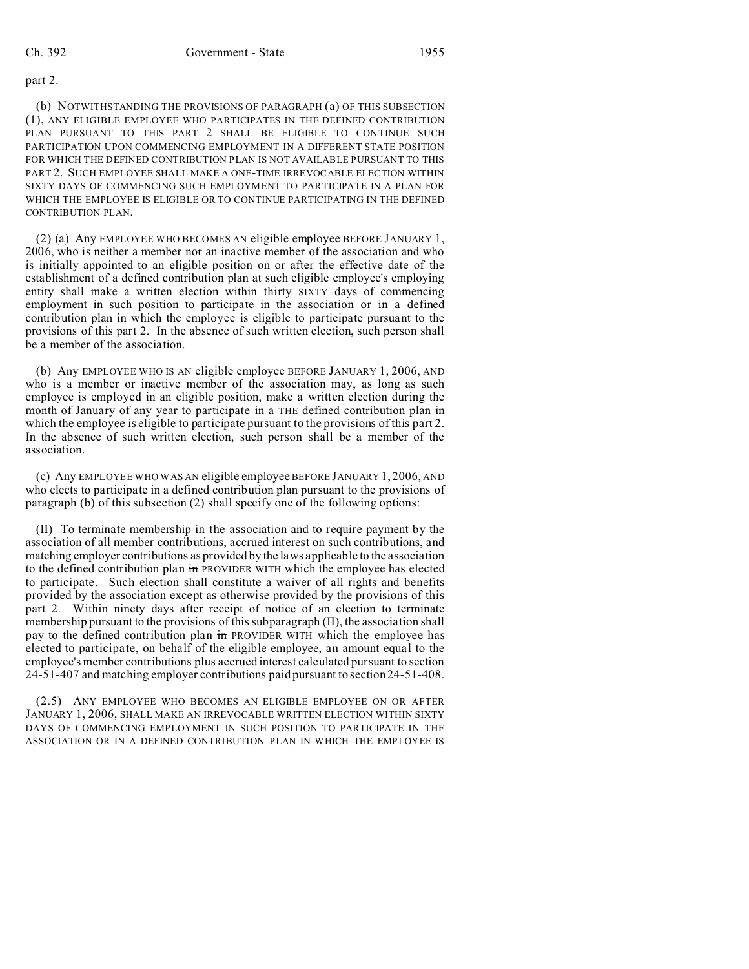#### part 2.

(b) NOTWITHSTANDING THE PROVISIONS OF PARAGRAPH (a) OF THIS SUBSECTION (1), ANY ELIGIBLE EMPLOYEE WHO PARTICIPATES IN THE DEFINED CONTRIBUTION PLAN PURSUANT TO THIS PART 2 SHALL BE ELIGIBLE TO CONTINUE SUCH PARTICIPATION UPON COMMENCING EMPLOYMENT IN A DIFFERENT STATE POSITION FOR WHICH THE DEFINED CONTRIBUTION PLAN IS NOT AVAILABLE PURSUANT TO THIS PART 2. SUCH EMPLOYEE SHALL MAKE A ONE-TIME IRREVOCABLE ELECTION WITHIN SIXTY DAYS OF COMMENCING SUCH EMPLOYMENT TO PARTICIPATE IN A PLAN FOR WHICH THE EMPLOYEE IS ELIGIBLE OR TO CONTINUE PARTICIPATING IN THE DEFINED CONTRIBUTION PLAN.

(2) (a) Any EMPLOYEE WHO BECOMES AN eligible employee BEFORE JANUARY 1, 2006, who is neither a member nor an inactive member of the association and who is initially appointed to an eligible position on or after the effective date of the establishment of a defined contribution plan at such eligible employee's employing entity shall make a written election within thirty SIXTY days of commencing employment in such position to participate in the association or in a defined contribution plan in which the employee is eligible to participate pursuant to the provisions of this part 2. In the absence of such written election, such person shall be a member of the association.

(b) Any EMPLOYEE WHO IS AN eligible employee BEFORE JANUARY 1, 2006, AND who is a member or inactive member of the association may, as long as such employee is employed in an eligible position, make a written election during the month of January of any year to participate in  $a$  THE defined contribution plan in which the employee is eligible to participate pursuant to the provisions of this part 2. In the absence of such written election, such person shall be a member of the association.

(c) Any EMPLOYEE WHO WAS AN eligible employee BEFORE JANUARY 1, 2006, AND who elects to participate in a defined contribution plan pursuant to the provisions of paragraph (b) of this subsection (2) shall specify one of the following options:

(II) To terminate membership in the association and to require payment by the association of all member contributions, accrued interest on such contributions, and matching employer contributions as provided by the laws applicable to the association to the defined contribution plan in PROVIDER WITH which the employee has elected to participate. Such election shall constitute a waiver of all rights and benefits provided by the association except as otherwise provided by the provisions of this part 2. Within ninety days after receipt of notice of an election to terminate membership pursuant to the provisions of this subparagraph (II), the association shall pay to the defined contribution plan in PROVIDER WITH which the employee has elected to participate, on behalf of the eligible employee, an amount equal to the employee's member contributions plus accrued interest calculated pursuant to section 24-51-407 and matching employer contributions paid pursuant to section 24-51-408.

(2.5) ANY EMPLOYEE WHO BECOMES AN ELIGIBLE EMPLOYEE ON OR AFTER JANUARY 1, 2006, SHALL MAKE AN IRREVOCABLE WRITTEN ELECTION WITHIN SIXTY DAYS OF COMMENCING EMPLOYMENT IN SUCH POSITION TO PARTICIPATE IN THE ASSOCIATION OR IN A DEFINED CONTRIBUTION PLAN IN WHICH THE EMPLOYEE IS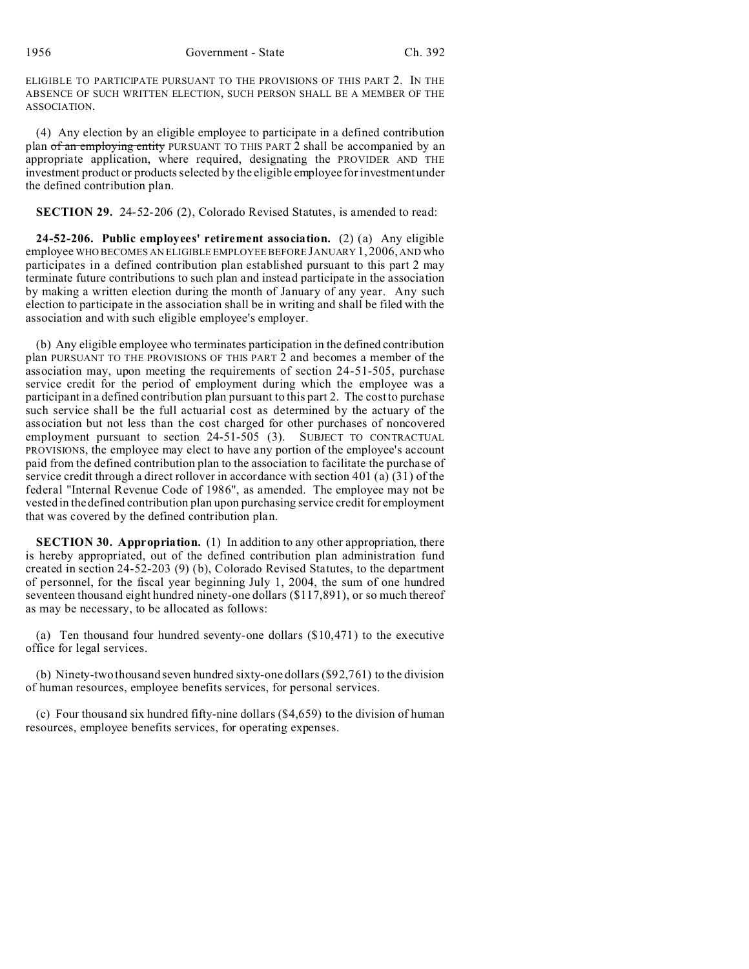ELIGIBLE TO PARTICIPATE PURSUANT TO THE PROVISIONS OF THIS PART 2. IN THE ABSENCE OF SUCH WRITTEN ELECTION, SUCH PERSON SHALL BE A MEMBER OF THE ASSOCIATION.

(4) Any election by an eligible employee to participate in a defined contribution plan of an employing entity PURSUANT TO THIS PART 2 shall be accompanied by an appropriate application, where required, designating the PROVIDER AND THE investment product or products selected by the eligible employee for investment under the defined contribution plan.

#### **SECTION 29.** 24-52-206 (2), Colorado Revised Statutes, is amended to read:

**24-52-206. Public employees' retirement association.** (2) (a) Any eligible employee WHO BECOMES AN ELIGIBLE EMPLOYEE BEFORE JANUARY 1, 2006, AND who participates in a defined contribution plan established pursuant to this part 2 may terminate future contributions to such plan and instead participate in the association by making a written election during the month of January of any year. Any such election to participate in the association shall be in writing and shall be filed with the association and with such eligible employee's employer.

(b) Any eligible employee who terminates participation in the defined contribution plan PURSUANT TO THE PROVISIONS OF THIS PART 2 and becomes a member of the association may, upon meeting the requirements of section 24-51-505, purchase service credit for the period of employment during which the employee was a participant in a defined contribution plan pursuant to this part 2. The cost to purchase such service shall be the full actuarial cost as determined by the actuary of the association but not less than the cost charged for other purchases of noncovered employment pursuant to section 24-51-505 (3). SUBJECT TO CONTRACTUAL PROVISIONS, the employee may elect to have any portion of the employee's account paid from the defined contribution plan to the association to facilitate the purchase of service credit through a direct rollover in accordance with section 401 (a) (31) of the federal "Internal Revenue Code of 1986", as amended. The employee may not be vested in the defined contribution plan upon purchasing service credit for employment that was covered by the defined contribution plan.

**SECTION 30. Appropriation.** (1) In addition to any other appropriation, there is hereby appropriated, out of the defined contribution plan administration fund created in section 24-52-203 (9) (b), Colorado Revised Statutes, to the department of personnel, for the fiscal year beginning July 1, 2004, the sum of one hundred seventeen thousand eight hundred ninety-one dollars (\$117,891), or so much thereof as may be necessary, to be allocated as follows:

(a) Ten thousand four hundred seventy-one dollars (\$10,471) to the executive office for legal services.

(b) Ninety-two thousand seven hundred sixty-one dollars (\$92,761) to the division of human resources, employee benefits services, for personal services.

(c) Four thousand six hundred fifty-nine dollars (\$4,659) to the division of human resources, employee benefits services, for operating expenses.